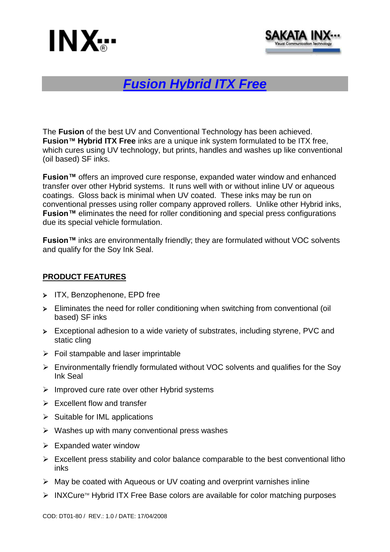



# *Fusion Hybrid ITX Free*

The **Fusion** of the best UV and Conventional Technology has been achieved. **Fusion™ Hybrid ITX Free** inks are a unique ink system formulated to be ITX free, which cures using UV technology, but prints, handles and washes up like conventional (oil based) SF inks.

**Fusion™** offers an improved cure response, expanded water window and enhanced transfer over other Hybrid systems. It runs well with or without inline UV or aqueous coatings. Gloss back is minimal when UV coated. These inks may be run on conventional presses using roller company approved rollers. Unlike other Hybrid inks, **Fusion™** eliminates the need for roller conditioning and special press configurations due its special vehicle formulation.

**Fusion™** inks are environmentally friendly; they are formulated without VOC solvents and qualify for the Soy Ink Seal.

# **PRODUCT FEATURES**

- > ITX, Benzophenone, EPD free
- $\triangleright$  Eliminates the need for roller conditioning when switching from conventional (oil based) SF inks
- Exceptional adhesion to a wide variety of substrates, including styrene, PVC and static cling
- $\triangleright$  Foil stampable and laser imprintable
- Environmentally friendly formulated without VOC solvents and qualifies for the Soy Ink Seal
- $\triangleright$  Improved cure rate over other Hybrid systems
- $\triangleright$  Excellent flow and transfer
- $\triangleright$  Suitable for IML applications
- $\triangleright$  Washes up with many conventional press washes
- $\triangleright$  Expanded water window
- $\triangleright$  Excellent press stability and color balance comparable to the best conventional litho inks
- $\triangleright$  May be coated with Aqueous or UV coating and overprint varnishes inline
- $\triangleright$  INXCure<sup> $M$ </sup> Hybrid ITX Free Base colors are available for color matching purposes